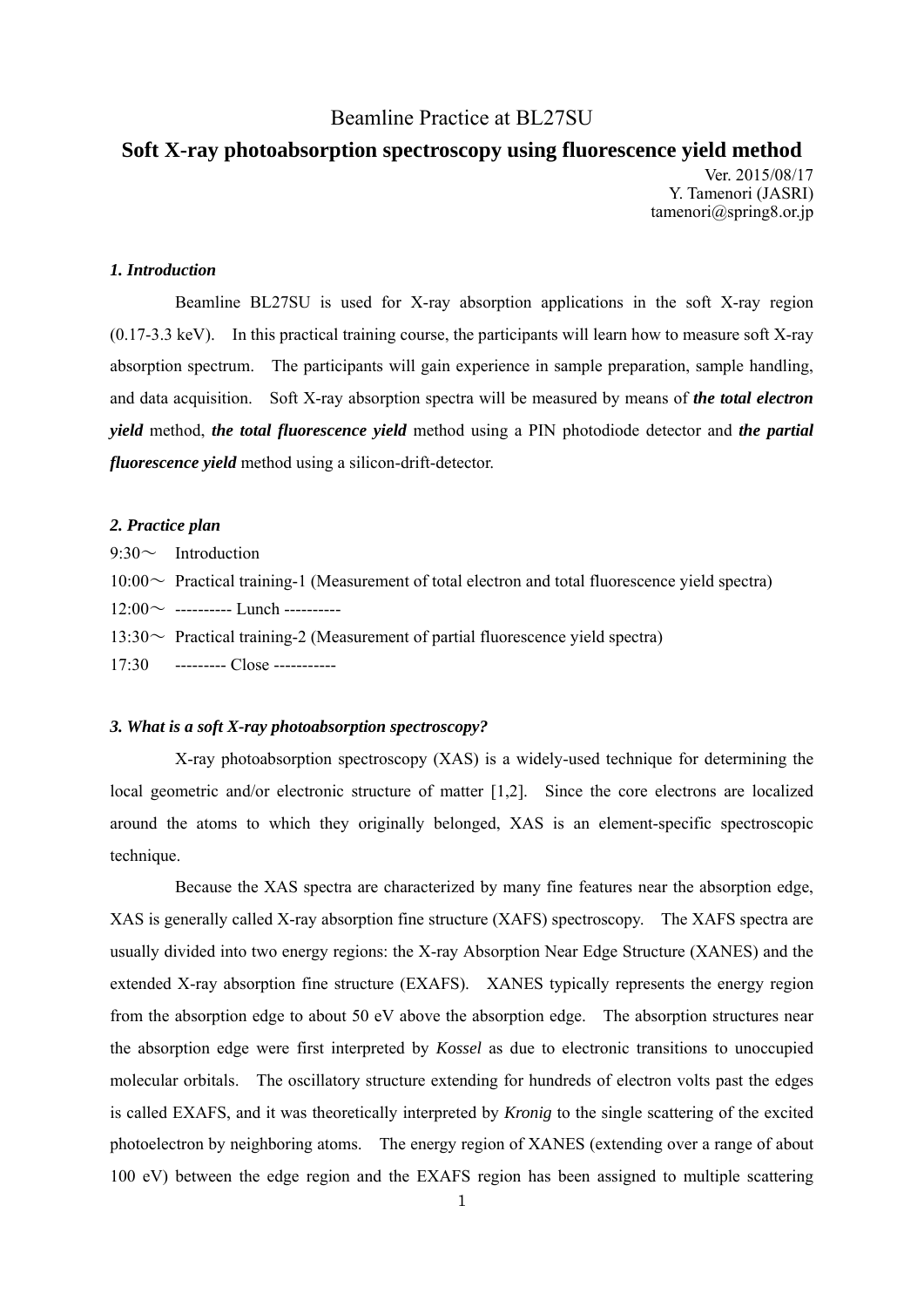# Beamline Practice at BL27SU

# **Soft X-ray photoabsorption spectroscopy using fluorescence yield method**  Ver. 2015/08/17

Y. Tamenori (JASRI) tamenori@spring8.or.jp

## *1. Introduction*

 Beamline BL27SU is used for X-ray absorption applications in the soft X-ray region  $(0.17-3.3 \text{ keV})$ . In this practical training course, the participants will learn how to measure soft X-ray absorption spectrum. The participants will gain experience in sample preparation, sample handling, and data acquisition. Soft X-ray absorption spectra will be measured by means of *the total electron yield* method, *the total fluorescence yield* method using a PIN photodiode detector and *the partial fluorescence yield* method using a silicon-drift-detector.

#### *2. Practice plan*

 $9:30 \sim$  Introduction  $10:00\sim$  Practical training-1 (Measurement of total electron and total fluorescence yield spectra)  $12:00 \sim$  ---------- Lunch ----------13:30 $\sim$  Practical training-2 (Measurement of partial fluorescence yield spectra) 17:30 --------- Close -----------

#### *3. What is a soft X-ray photoabsorption spectroscopy?*

 X-ray photoabsorption spectroscopy (XAS) is a widely-used technique for determining the local geometric and/or electronic structure of matter [1,2]. Since the core electrons are localized around the atoms to which they originally belonged, XAS is an element-specific spectroscopic technique.

 Because the XAS spectra are characterized by many fine features near the absorption edge, XAS is generally called X-ray absorption fine structure (XAFS) spectroscopy. The XAFS spectra are usually divided into two energy regions: the X-ray Absorption Near Edge Structure (XANES) and the extended X-ray absorption fine structure (EXAFS). XANES typically represents the energy region from the absorption edge to about 50 eV above the absorption edge. The absorption structures near the absorption edge were first interpreted by *Kossel* as due to electronic transitions to unoccupied molecular orbitals. The oscillatory structure extending for hundreds of electron volts past the edges is called EXAFS, and it was theoretically interpreted by *Kronig* to the single scattering of the excited photoelectron by neighboring atoms. The energy region of XANES (extending over a range of about 100 eV) between the edge region and the EXAFS region has been assigned to multiple scattering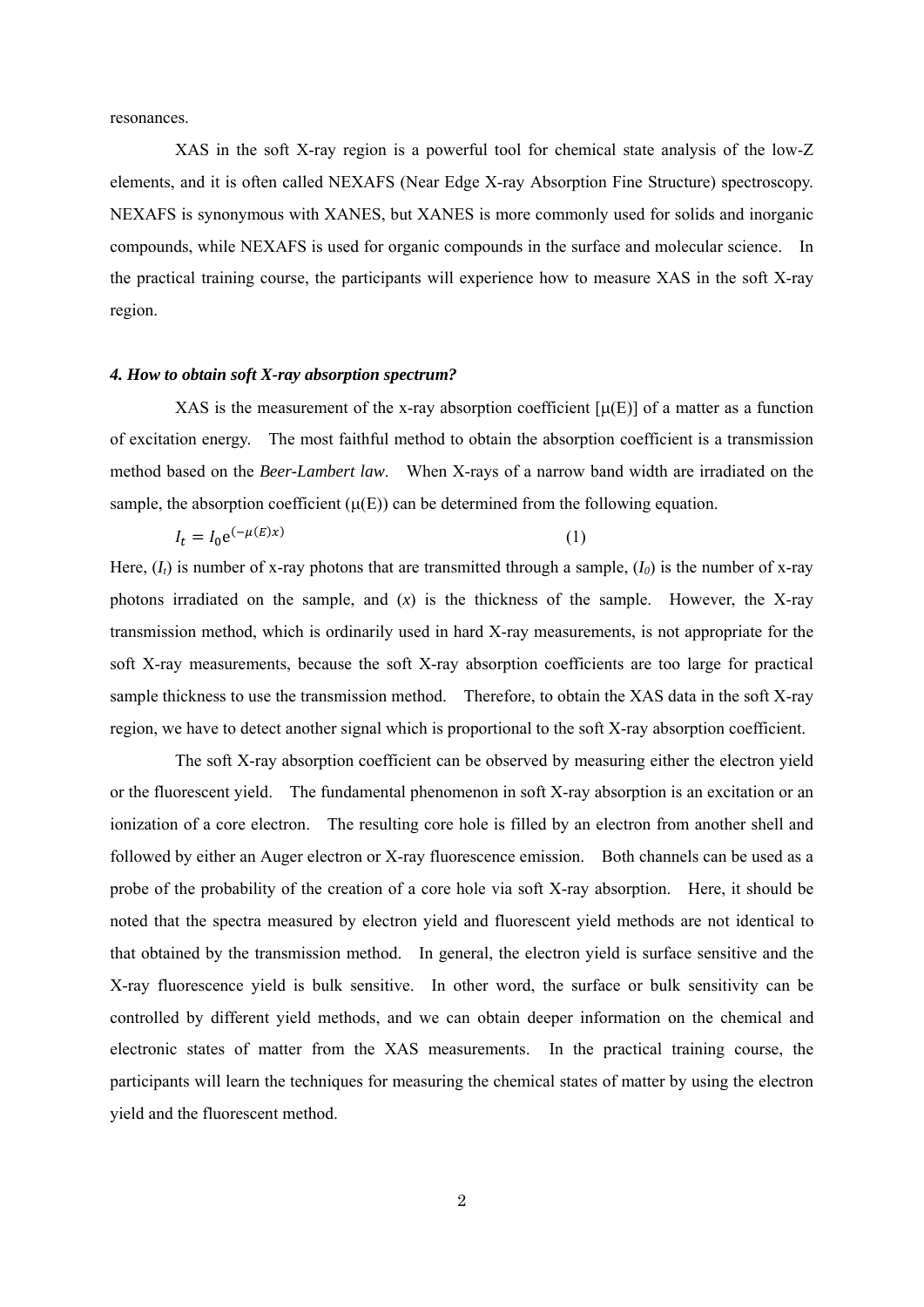resonances.

 XAS in the soft X-ray region is a powerful tool for chemical state analysis of the low-Z elements, and it is often called NEXAFS (Near Edge X-ray Absorption Fine Structure) spectroscopy. NEXAFS is synonymous with XANES, but XANES is more commonly used for solids and inorganic compounds, while NEXAFS is used for organic compounds in the surface and molecular science. In the practical training course, the participants will experience how to measure XAS in the soft X-ray region.

#### *4. How to obtain soft X-ray absorption spectrum?*

XAS is the measurement of the x-ray absorption coefficient  $[\mu(E)]$  of a matter as a function of excitation energy. The most faithful method to obtain the absorption coefficient is a transmission method based on the *Beer-Lambert law*. When X-rays of a narrow band width are irradiated on the sample, the absorption coefficient  $(\mu(E))$  can be determined from the following equation.

$$
I_t = I_0 e^{(-\mu(E)x)}
$$
 (1)

Here,  $(I_t)$  is number of x-ray photons that are transmitted through a sample,  $(I_0)$  is the number of x-ray photons irradiated on the sample, and (*x*) is the thickness of the sample. However, the X-ray transmission method, which is ordinarily used in hard X-ray measurements, is not appropriate for the soft X-ray measurements, because the soft X-ray absorption coefficients are too large for practical sample thickness to use the transmission method. Therefore, to obtain the XAS data in the soft X-ray region, we have to detect another signal which is proportional to the soft X-ray absorption coefficient.

 The soft X-ray absorption coefficient can be observed by measuring either the electron yield or the fluorescent yield. The fundamental phenomenon in soft X-ray absorption is an excitation or an ionization of a core electron. The resulting core hole is filled by an electron from another shell and followed by either an Auger electron or X-ray fluorescence emission. Both channels can be used as a probe of the probability of the creation of a core hole via soft X-ray absorption. Here, it should be noted that the spectra measured by electron yield and fluorescent yield methods are not identical to that obtained by the transmission method. In general, the electron yield is surface sensitive and the X-ray fluorescence yield is bulk sensitive. In other word, the surface or bulk sensitivity can be controlled by different yield methods, and we can obtain deeper information on the chemical and electronic states of matter from the XAS measurements. In the practical training course, the participants will learn the techniques for measuring the chemical states of matter by using the electron yield and the fluorescent method.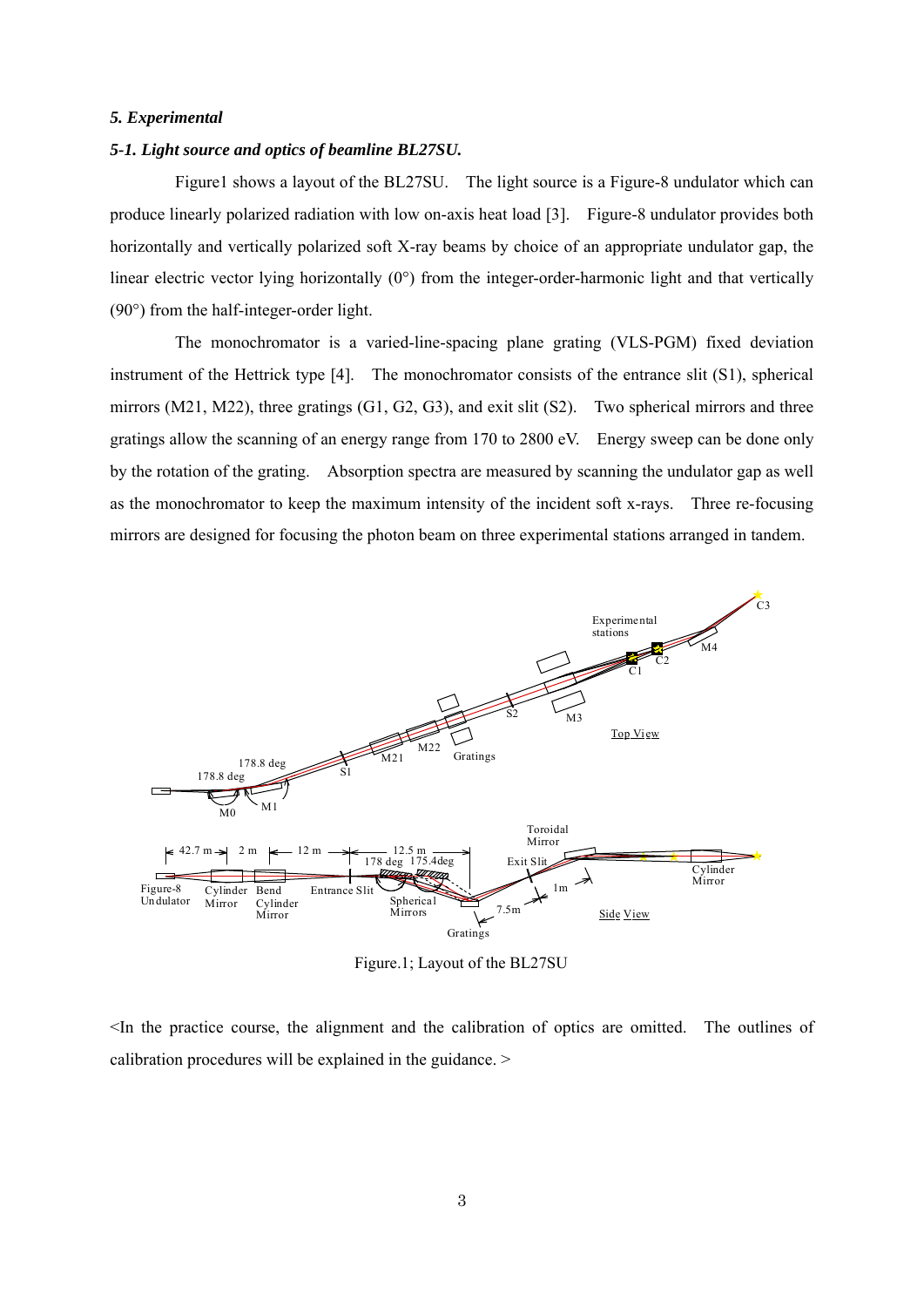### *5. Experimental*

# *5-1. Light source and optics of beamline BL27SU.*

 Figure1 shows a layout of the BL27SU. The light source is a Figure-8 undulator which can produce linearly polarized radiation with low on-axis heat load [3]. Figure-8 undulator provides both horizontally and vertically polarized soft X-ray beams by choice of an appropriate undulator gap, the linear electric vector lying horizontally  $(0^{\circ})$  from the integer-order-harmonic light and that vertically (90°) from the half-integer-order light.

 The monochromator is a varied-line-spacing plane grating (VLS-PGM) fixed deviation instrument of the Hettrick type [4]. The monochromator consists of the entrance slit (S1), spherical mirrors (M21, M22), three gratings (G1, G2, G3), and exit slit (S2). Two spherical mirrors and three gratings allow the scanning of an energy range from 170 to 2800 eV. Energy sweep can be done only by the rotation of the grating. Absorption spectra are measured by scanning the undulator gap as well as the monochromator to keep the maximum intensity of the incident soft x-rays. Three re-focusing mirrors are designed for focusing the photon beam on three experimental stations arranged in tandem.



Figure.1; Layout of the BL27SU

<In the practice course, the alignment and the calibration of optics are omitted. The outlines of calibration procedures will be explained in the guidance. >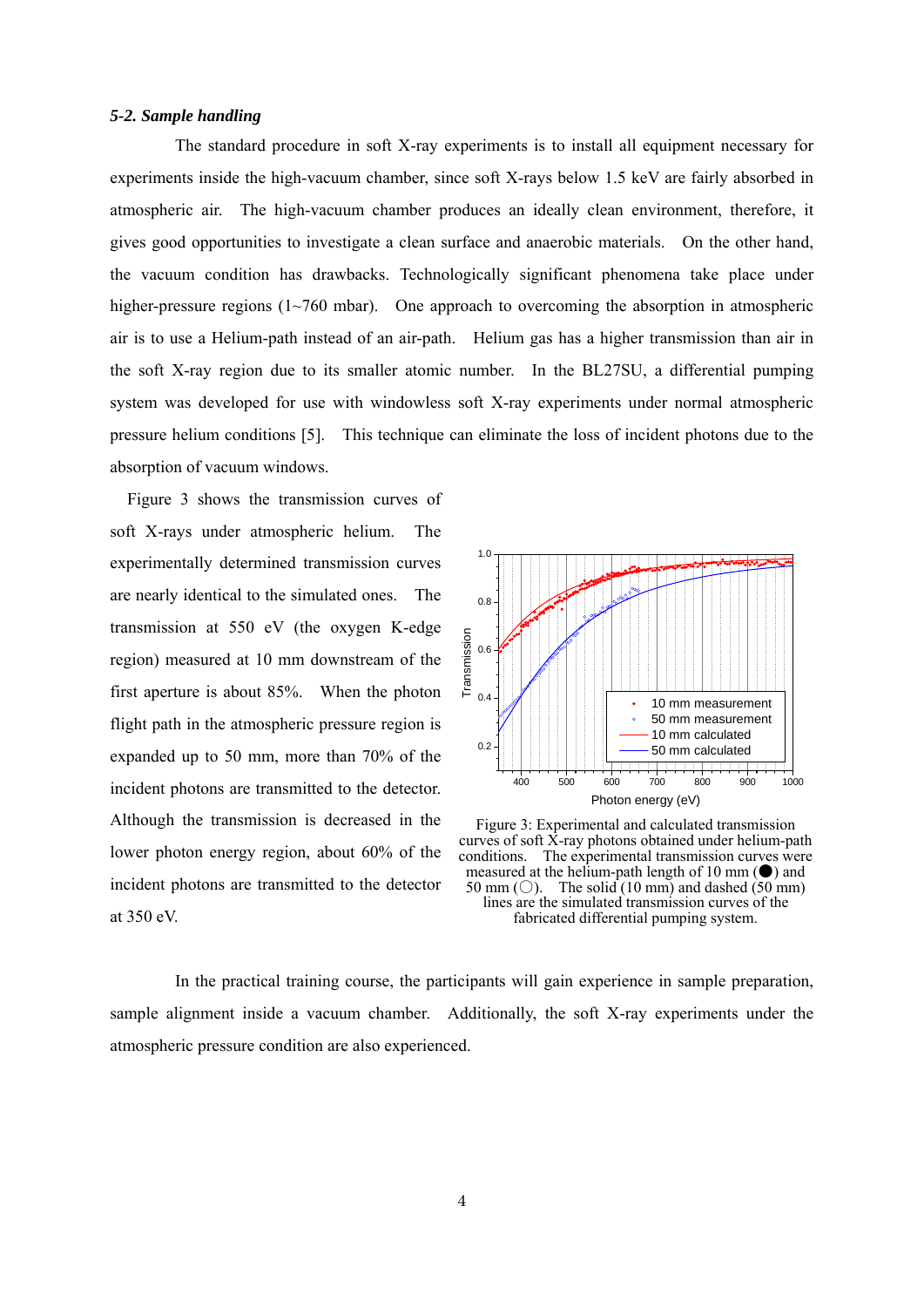#### *5-2. Sample handling*

 The standard procedure in soft X-ray experiments is to install all equipment necessary for experiments inside the high-vacuum chamber, since soft X-rays below 1.5 keV are fairly absorbed in atmospheric air. The high-vacuum chamber produces an ideally clean environment, therefore, it gives good opportunities to investigate a clean surface and anaerobic materials. On the other hand, the vacuum condition has drawbacks. Technologically significant phenomena take place under higher-pressure regions (1~760 mbar). One approach to overcoming the absorption in atmospheric air is to use a Helium-path instead of an air-path. Helium gas has a higher transmission than air in the soft X-ray region due to its smaller atomic number. In the BL27SU, a differential pumping system was developed for use with windowless soft X-ray experiments under normal atmospheric pressure helium conditions [5]. This technique can eliminate the loss of incident photons due to the absorption of vacuum windows.

 Figure 3 shows the transmission curves of soft X-rays under atmospheric helium. The experimentally determined transmission curves are nearly identical to the simulated ones. The transmission at 550 eV (the oxygen K-edge region) measured at 10 mm downstream of the first aperture is about 85%. When the photon flight path in the atmospheric pressure region is expanded up to 50 mm, more than 70% of the incident photons are transmitted to the detector. Although the transmission is decreased in the lower photon energy region, about 60% of the incident photons are transmitted to the detector at 350 eV.



Figure 3: Experimental and calculated transmission curves of soft  $\dot{x}$ -ray photons obtained under helium-path conditions. The experimental transmission curves were measured at the helium-path length of 10 mm  $(\bullet)$  and 50 mm ( $\bigcirc$ ). The solid (10 mm) and dashed (50 mm) lines are the simulated transmission curves of the fabricated differential pumping system.

 In the practical training course, the participants will gain experience in sample preparation, sample alignment inside a vacuum chamber. Additionally, the soft X-ray experiments under the atmospheric pressure condition are also experienced.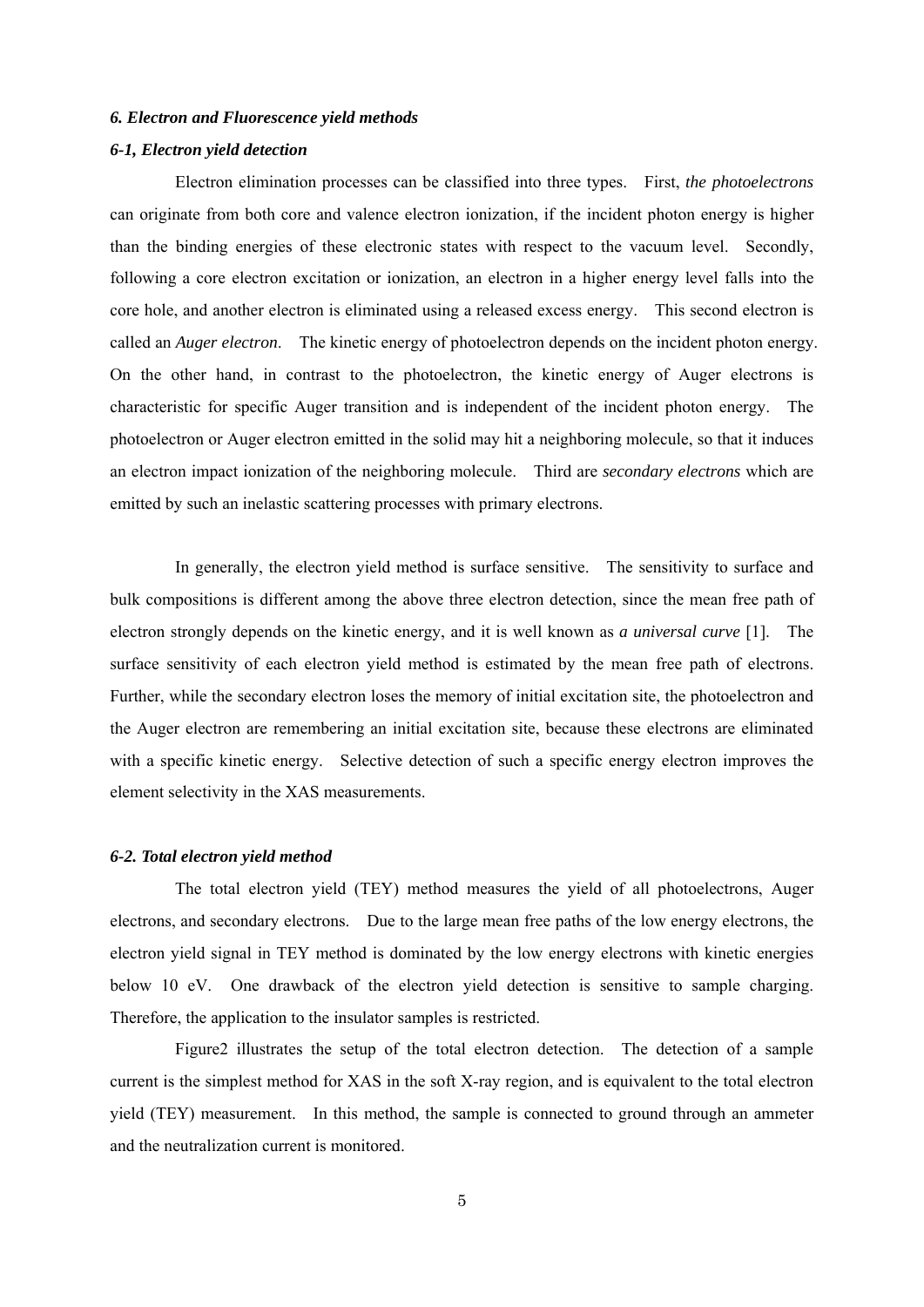#### *6. Electron and Fluorescence yield methods*

#### *6-1, Electron yield detection*

Electron elimination processes can be classified into three types. First, *the photoelectrons* can originate from both core and valence electron ionization, if the incident photon energy is higher than the binding energies of these electronic states with respect to the vacuum level. Secondly, following a core electron excitation or ionization, an electron in a higher energy level falls into the core hole, and another electron is eliminated using a released excess energy. This second electron is called an *Auger electron*. The kinetic energy of photoelectron depends on the incident photon energy. On the other hand, in contrast to the photoelectron, the kinetic energy of Auger electrons is characteristic for specific Auger transition and is independent of the incident photon energy. The photoelectron or Auger electron emitted in the solid may hit a neighboring molecule, so that it induces an electron impact ionization of the neighboring molecule. Third are *secondary electrons* which are emitted by such an inelastic scattering processes with primary electrons.

 In generally, the electron yield method is surface sensitive. The sensitivity to surface and bulk compositions is different among the above three electron detection, since the mean free path of electron strongly depends on the kinetic energy, and it is well known as *a universal curve* [1]. The surface sensitivity of each electron yield method is estimated by the mean free path of electrons. Further, while the secondary electron loses the memory of initial excitation site, the photoelectron and the Auger electron are remembering an initial excitation site, because these electrons are eliminated with a specific kinetic energy. Selective detection of such a specific energy electron improves the element selectivity in the XAS measurements.

#### *6-2. Total electron yield method*

 The total electron yield (TEY) method measures the yield of all photoelectrons, Auger electrons, and secondary electrons. Due to the large mean free paths of the low energy electrons, the electron yield signal in TEY method is dominated by the low energy electrons with kinetic energies below 10 eV. One drawback of the electron yield detection is sensitive to sample charging. Therefore, the application to the insulator samples is restricted.

 Figure2 illustrates the setup of the total electron detection. The detection of a sample current is the simplest method for XAS in the soft X-ray region, and is equivalent to the total electron yield (TEY) measurement. In this method, the sample is connected to ground through an ammeter and the neutralization current is monitored.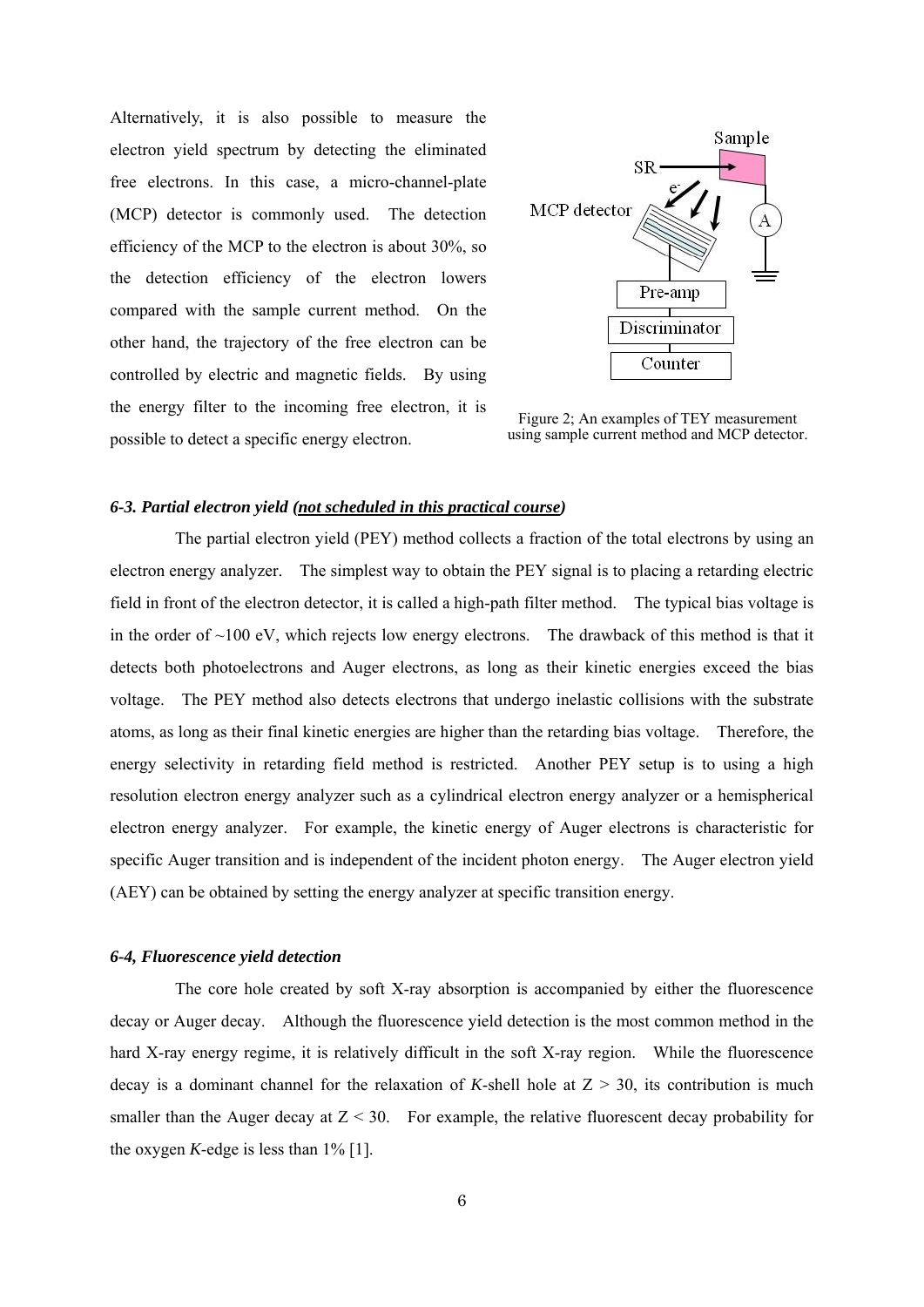Alternatively, it is also possible to measure the electron yield spectrum by detecting the eliminated free electrons. In this case, a micro-channel-plate (MCP) detector is commonly used. The detection efficiency of the MCP to the electron is about 30%, so the detection efficiency of the electron lowers compared with the sample current method. On the other hand, the trajectory of the free electron can be controlled by electric and magnetic fields. By using the energy filter to the incoming free electron, it is possible to detect a specific energy electron.



Figure 2; An examples of TEY measurement using sample current method and MCP detector.

# *6-3. Partial electron yield (not scheduled in this practical course)*

 The partial electron yield (PEY) method collects a fraction of the total electrons by using an electron energy analyzer. The simplest way to obtain the PEY signal is to placing a retarding electric field in front of the electron detector, it is called a high-path filter method. The typical bias voltage is in the order of  $\sim$ 100 eV, which rejects low energy electrons. The drawback of this method is that it detects both photoelectrons and Auger electrons, as long as their kinetic energies exceed the bias voltage. The PEY method also detects electrons that undergo inelastic collisions with the substrate atoms, as long as their final kinetic energies are higher than the retarding bias voltage. Therefore, the energy selectivity in retarding field method is restricted. Another PEY setup is to using a high resolution electron energy analyzer such as a cylindrical electron energy analyzer or a hemispherical electron energy analyzer. For example, the kinetic energy of Auger electrons is characteristic for specific Auger transition and is independent of the incident photon energy. The Auger electron yield (AEY) can be obtained by setting the energy analyzer at specific transition energy.

#### *6-4, Fluorescence yield detection*

 The core hole created by soft X-ray absorption is accompanied by either the fluorescence decay or Auger decay. Although the fluorescence yield detection is the most common method in the hard X-ray energy regime, it is relatively difficult in the soft X-ray region. While the fluorescence decay is a dominant channel for the relaxation of *K*-shell hole at  $Z > 30$ , its contribution is much smaller than the Auger decay at  $Z < 30$ . For example, the relative fluorescent decay probability for the oxygen *K*-edge is less than  $1\%$  [1].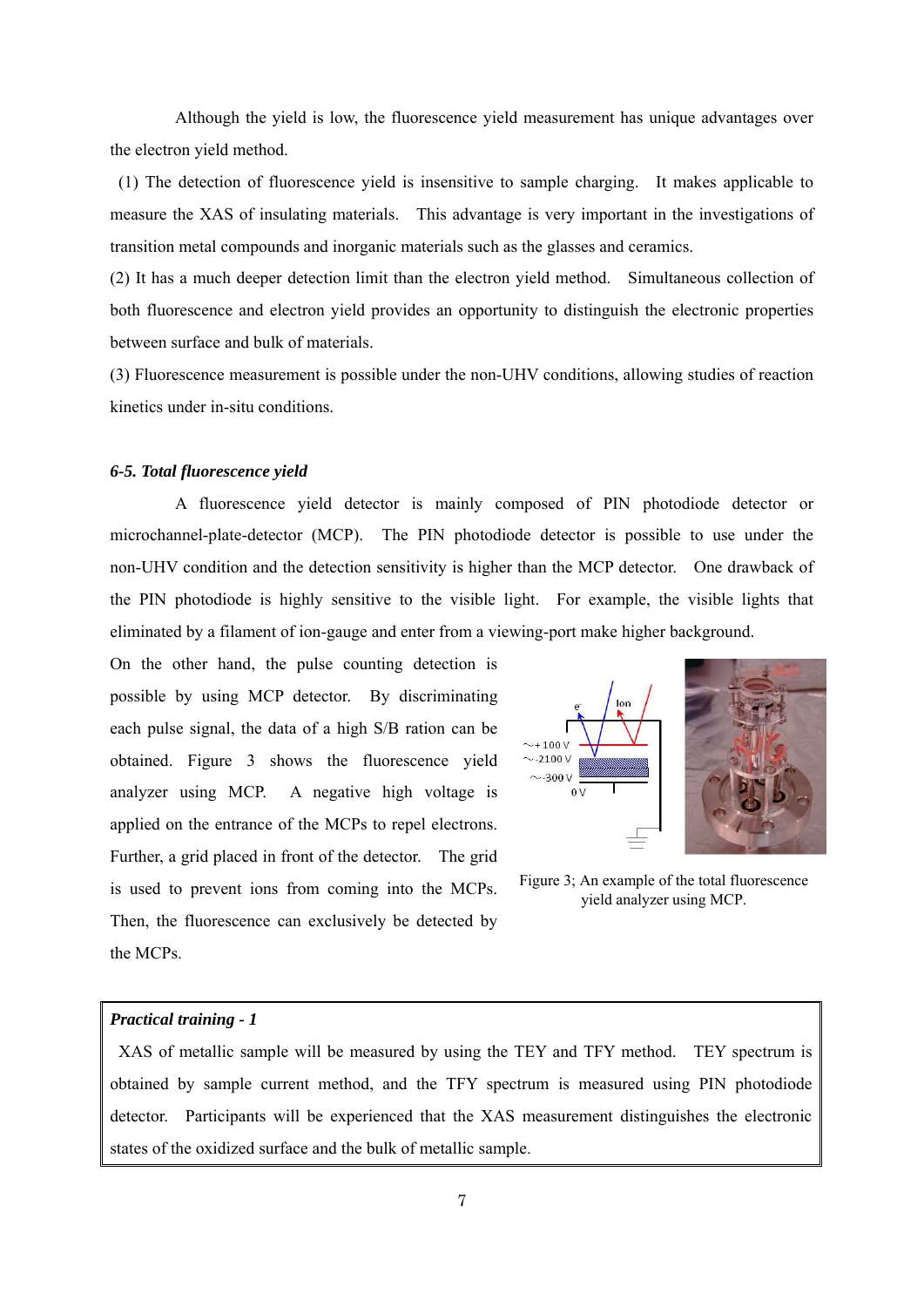Although the yield is low, the fluorescence yield measurement has unique advantages over the electron yield method.

 (1) The detection of fluorescence yield is insensitive to sample charging. It makes applicable to measure the XAS of insulating materials. This advantage is very important in the investigations of transition metal compounds and inorganic materials such as the glasses and ceramics.

(2) It has a much deeper detection limit than the electron yield method. Simultaneous collection of both fluorescence and electron yield provides an opportunity to distinguish the electronic properties between surface and bulk of materials.

(3) Fluorescence measurement is possible under the non-UHV conditions, allowing studies of reaction kinetics under in-situ conditions.

# *6-5. Total fluorescence yield*

 A fluorescence yield detector is mainly composed of PIN photodiode detector or microchannel-plate-detector (MCP). The PIN photodiode detector is possible to use under the non-UHV condition and the detection sensitivity is higher than the MCP detector. One drawback of the PIN photodiode is highly sensitive to the visible light. For example, the visible lights that eliminated by a filament of ion-gauge and enter from a viewing-port make higher background.

On the other hand, the pulse counting detection is possible by using MCP detector. By discriminating each pulse signal, the data of a high S/B ration can be obtained. Figure 3 shows the fluorescence yield analyzer using MCP. A negative high voltage is applied on the entrance of the MCPs to repel electrons. Further, a grid placed in front of the detector. The grid is used to prevent ions from coming into the MCPs. Then, the fluorescence can exclusively be detected by the MCPs.



Figure 3; An example of the total fluorescence yield analyzer using MCP.

# *Practical training - 1*

 XAS of metallic sample will be measured by using the TEY and TFY method. TEY spectrum is obtained by sample current method, and the TFY spectrum is measured using PIN photodiode detector. Participants will be experienced that the XAS measurement distinguishes the electronic states of the oxidized surface and the bulk of metallic sample.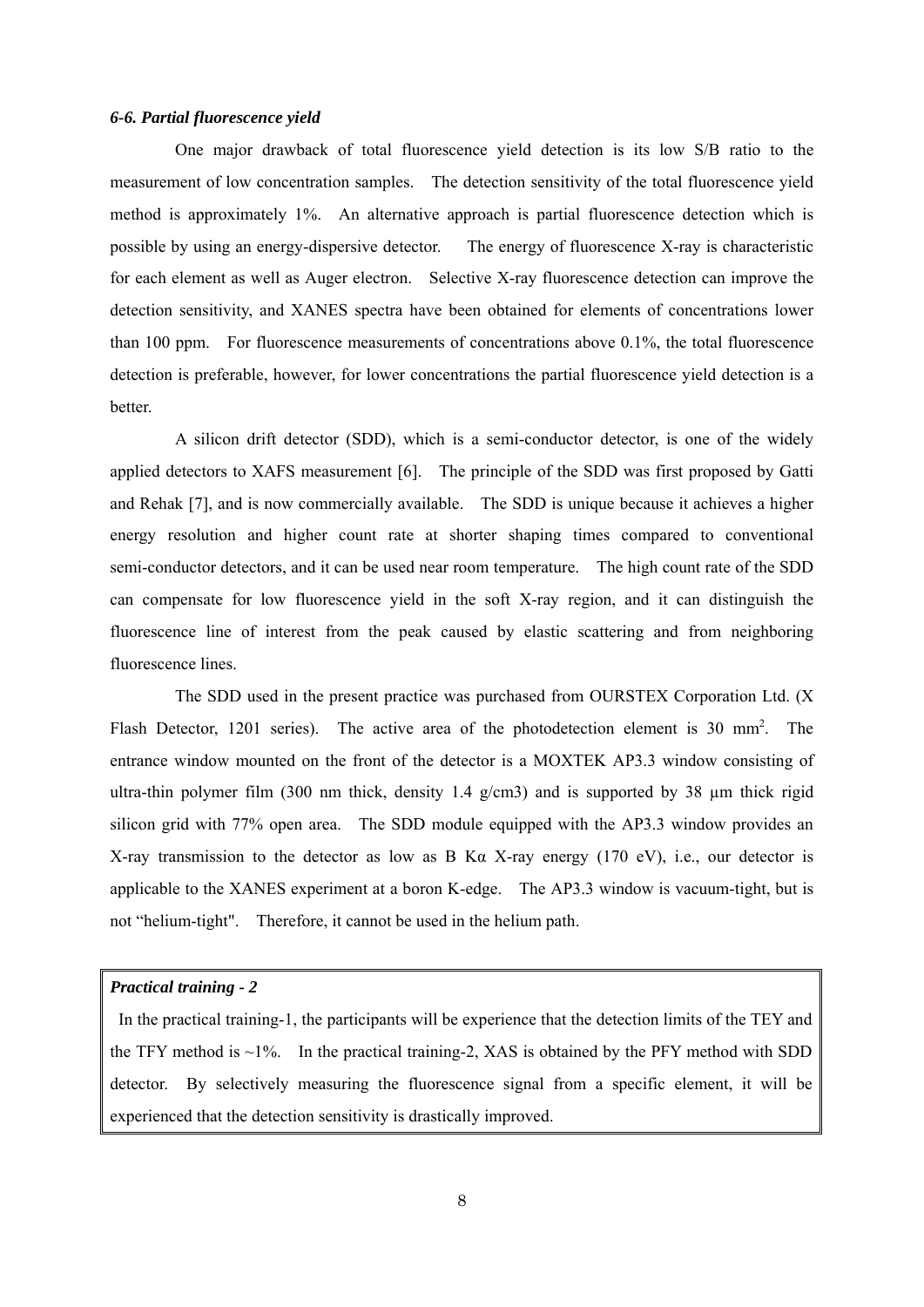#### *6-6. Partial fluorescence yield*

 One major drawback of total fluorescence yield detection is its low S/B ratio to the measurement of low concentration samples. The detection sensitivity of the total fluorescence yield method is approximately 1%. An alternative approach is partial fluorescence detection which is possible by using an energy-dispersive detector. The energy of fluorescence X-ray is characteristic for each element as well as Auger electron. Selective X-ray fluorescence detection can improve the detection sensitivity, and XANES spectra have been obtained for elements of concentrations lower than 100 ppm. For fluorescence measurements of concentrations above 0.1%, the total fluorescence detection is preferable, however, for lower concentrations the partial fluorescence yield detection is a **better** 

 A silicon drift detector (SDD), which is a semi-conductor detector, is one of the widely applied detectors to XAFS measurement [6]. The principle of the SDD was first proposed by Gatti and Rehak [7], and is now commercially available. The SDD is unique because it achieves a higher energy resolution and higher count rate at shorter shaping times compared to conventional semi-conductor detectors, and it can be used near room temperature. The high count rate of the SDD can compensate for low fluorescence yield in the soft X-ray region, and it can distinguish the fluorescence line of interest from the peak caused by elastic scattering and from neighboring fluorescence lines.

 The SDD used in the present practice was purchased from OURSTEX Corporation Ltd. (X Flash Detector, 1201 series). The active area of the photodetection element is 30 mm<sup>2</sup>. The entrance window mounted on the front of the detector is a MOXTEK AP3.3 window consisting of ultra-thin polymer film (300 nm thick, density 1.4  $g/cm3$ ) and is supported by 38  $\mu$ m thick rigid silicon grid with 77% open area. The SDD module equipped with the AP3.3 window provides an X-ray transmission to the detector as low as B Kα X-ray energy (170 eV), i.e., our detector is applicable to the XANES experiment at a boron K-edge. The AP3.3 window is vacuum-tight, but is not "helium-tight". Therefore, it cannot be used in the helium path.

#### *Practical training - 2*

 In the practical training-1, the participants will be experience that the detection limits of the TEY and the TFY method is  $\sim$ 1%. In the practical training-2, XAS is obtained by the PFY method with SDD detector. By selectively measuring the fluorescence signal from a specific element, it will be experienced that the detection sensitivity is drastically improved.